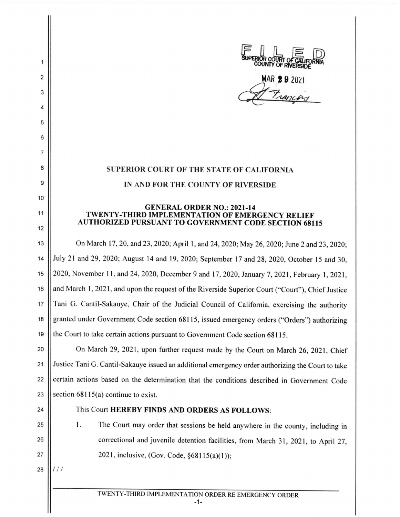E III E D<br>SUPERIOR COURT OF CALIFORNIA<br>COUNTY OF RIVERSIDE

MAR **29** 202

Franceis

## **SUPERIOR COURT OF THE STATE OF CALIFORNIA IN AND FOR THE COUNTY OF RIVERSIDE**

## **GENERAL ORDER NO.: 2021-14 TWENTY-THIRD IMPLEMENTATION OF EMERGENCY RELIEF AUTHORIZED PURSUANT TO GOVERNMENT CODE SECTION 68115**

13 On March 17, 20, and 23 , 2020; April 1, and 24, 2020; May 26, 2020; June 2 and 23, 2020; 14 July 21 and 29, 2020; August 14 and 19, 2020; September 17 and 28, 2020, October 15 and 30, 15 2020, November 11. and 24, 2020, December 9 and 17, 2020, January 7, 2021 , February 1, 2021 , 16 || and March 1, 2021, and upon the request of the Riverside Superior Court ("Court"), Chief Justice 17 || Tani G. Cantil-Sakauye, Chair of the Judicial Council of California, exercising the authority 18 || granted under Government Code section 68115, issued emergency orders ("Orders") authorizing 19 the Court to take certain actions pursuant to Government Code section 68115.

20 | On March 29, 2021, upon further request made by the Court on March 26, 2021, Chief 21 | Justice Tani G. Cantil-Sakauye issued an additional emergency order authorizing the Court to take 22 Certain actions based on the determination that the conditions described in Government Code 23 Section  $68115(a)$  continue to exist.

2

1

3

4

5

6

7

8

g

10

11

12

- 24 **This Court HEREBY FINDS AND ORDERS AS FOLLOWS:**
- 25 I. The Court may order that sessions be held anywhere in the county, including in 26 | correctional and juvenile detention facilities, from March 31, 2021, to April 27, 27  $\vert$  2021, inclusive, (Gov. Code, §68115(a)(1));

<sup>28</sup>*/ /I*